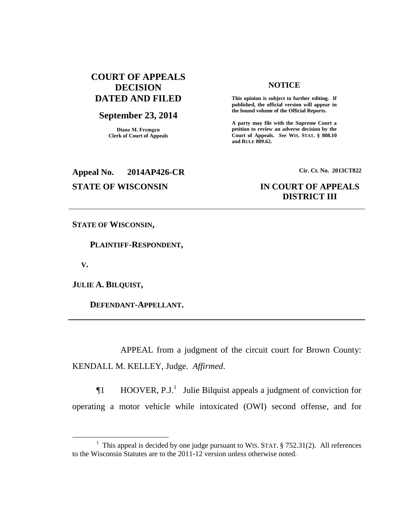# **COURT OF APPEALS DECISION DATED AND FILED**

# **September 23, 2014**

**Diane M. Fremgen Clerk of Court of Appeals**

### **NOTICE**

**This opinion is subject to further editing. If published, the official version will appear in the bound volume of the Official Reports.** 

**A party may file with the Supreme Court a petition to review an adverse decision by the Court of Appeals.** *See* **WIS. STAT. § 808.10 and RULE 809.62.** 

# **Appeal No. 2014AP426-CR Cir. Ct. No. 2013CT822**

# **STATE OF WISCONSIN IN COURT OF APPEALS DISTRICT III**

**STATE OF WISCONSIN,**

 **PLAINTIFF-RESPONDENT,**

 **V.**

 $\overline{a}$ 

**JULIE A. BILQUIST,**

 **DEFENDANT-APPELLANT.** 

APPEAL from a judgment of the circuit court for Brown County: KENDALL M. KELLEY, Judge. *Affirmed*.

 $\P1$  HOOVER, P.J.<sup>1</sup> Julie Bilquist appeals a judgment of conviction for operating a motor vehicle while intoxicated (OWI) second offense, and for

<sup>&</sup>lt;sup>1</sup> This appeal is decided by one judge pursuant to WIS. STAT.  $\S$  752.31(2). All references to the Wisconsin Statutes are to the 2011-12 version unless otherwise noted.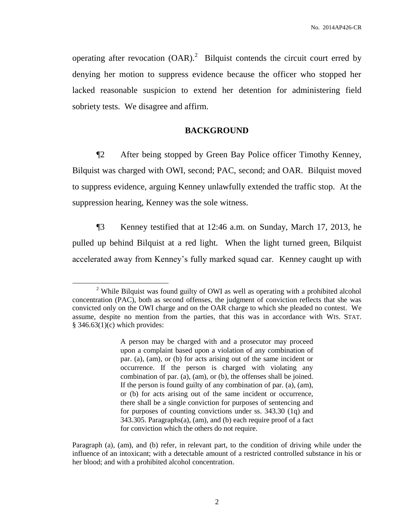operating after revocation  $(OAR)$ .<sup>2</sup> Bilquist contends the circuit court erred by denying her motion to suppress evidence because the officer who stopped her lacked reasonable suspicion to extend her detention for administering field sobriety tests. We disagree and affirm.

# **BACKGROUND**

¶2 After being stopped by Green Bay Police officer Timothy Kenney, Bilquist was charged with OWI, second; PAC, second; and OAR. Bilquist moved to suppress evidence, arguing Kenney unlawfully extended the traffic stop. At the suppression hearing, Kenney was the sole witness.

¶3 Kenney testified that at 12:46 a.m. on Sunday, March 17, 2013, he pulled up behind Bilquist at a red light. When the light turned green, Bilquist accelerated away from Kenney's fully marked squad car. Kenney caught up with

 $\overline{a}$ 

<sup>&</sup>lt;sup>2</sup> While Bilquist was found guilty of OWI as well as operating with a prohibited alcohol concentration (PAC), both as second offenses, the judgment of conviction reflects that she was convicted only on the OWI charge and on the OAR charge to which she pleaded no contest. We assume, despite no mention from the parties, that this was in accordance with WIS. STAT.  $§$  346.63(1)(c) which provides:

A person may be charged with and a prosecutor may proceed upon a complaint based upon a violation of any combination of par. (a), (am), or (b) for acts arising out of the same incident or occurrence. If the person is charged with violating any combination of par. (a), (am), or (b), the offenses shall be joined. If the person is found guilty of any combination of par. (a), (am), or (b) for acts arising out of the same incident or occurrence, there shall be a single conviction for purposes of sentencing and for purposes of counting convictions under ss. 343.30 (1q) and 343.305. Paragraphs(a), (am), and (b) each require proof of a fact for conviction which the others do not require.

Paragraph (a), (am), and (b) refer, in relevant part, to the condition of driving while under the influence of an intoxicant; with a detectable amount of a restricted controlled substance in his or her blood; and with a prohibited alcohol concentration.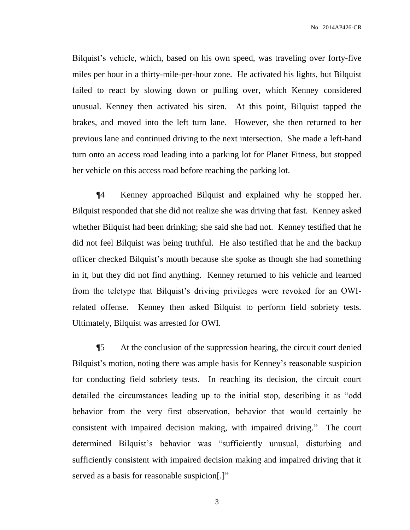No. 2014AP426-CR

Bilquist's vehicle, which, based on his own speed, was traveling over forty-five miles per hour in a thirty-mile-per-hour zone. He activated his lights, but Bilquist failed to react by slowing down or pulling over, which Kenney considered unusual. Kenney then activated his siren. At this point, Bilquist tapped the brakes, and moved into the left turn lane. However, she then returned to her previous lane and continued driving to the next intersection. She made a left-hand turn onto an access road leading into a parking lot for Planet Fitness, but stopped her vehicle on this access road before reaching the parking lot.

¶4 Kenney approached Bilquist and explained why he stopped her. Bilquist responded that she did not realize she was driving that fast. Kenney asked whether Bilquist had been drinking; she said she had not. Kenney testified that he did not feel Bilquist was being truthful. He also testified that he and the backup officer checked Bilquist's mouth because she spoke as though she had something in it, but they did not find anything. Kenney returned to his vehicle and learned from the teletype that Bilquist's driving privileges were revoked for an OWIrelated offense. Kenney then asked Bilquist to perform field sobriety tests. Ultimately, Bilquist was arrested for OWI.

¶5 At the conclusion of the suppression hearing, the circuit court denied Bilquist's motion, noting there was ample basis for Kenney's reasonable suspicion for conducting field sobriety tests. In reaching its decision, the circuit court detailed the circumstances leading up to the initial stop, describing it as "odd behavior from the very first observation, behavior that would certainly be consistent with impaired decision making, with impaired driving." The court determined Bilquist's behavior was "sufficiently unusual, disturbing and sufficiently consistent with impaired decision making and impaired driving that it served as a basis for reasonable suspicion[.]"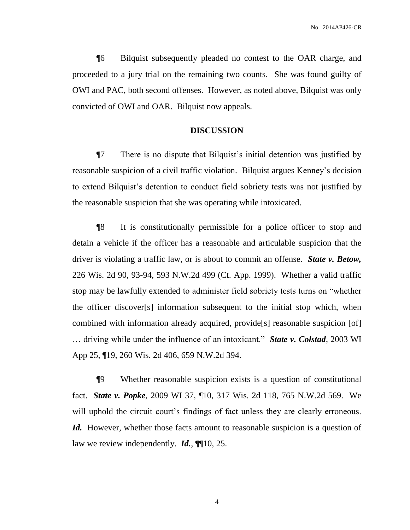¶6 Bilquist subsequently pleaded no contest to the OAR charge, and proceeded to a jury trial on the remaining two counts. She was found guilty of OWI and PAC, both second offenses. However, as noted above, Bilquist was only convicted of OWI and OAR. Bilquist now appeals.

### **DISCUSSION**

¶7 There is no dispute that Bilquist's initial detention was justified by reasonable suspicion of a civil traffic violation. Bilquist argues Kenney's decision to extend Bilquist's detention to conduct field sobriety tests was not justified by the reasonable suspicion that she was operating while intoxicated.

¶8 It is constitutionally permissible for a police officer to stop and detain a vehicle if the officer has a reasonable and articulable suspicion that the driver is violating a traffic law, or is about to commit an offense. *State v. Betow,*  226 Wis. 2d 90, 93-94, 593 N.W.2d 499 (Ct. App. 1999). Whether a valid traffic stop may be lawfully extended to administer field sobriety tests turns on "whether the officer discover[s] information subsequent to the initial stop which, when combined with information already acquired, provide[s] reasonable suspicion [of] … driving while under the influence of an intoxicant." *State v. Colstad*, 2003 WI App 25, ¶19, 260 Wis. 2d 406, 659 N.W.2d 394.

¶9 Whether reasonable suspicion exists is a question of constitutional fact. *State v. Popke*, 2009 WI 37, ¶10, 317 Wis. 2d 118, 765 N.W.2d 569. We will uphold the circuit court's findings of fact unless they are clearly erroneous. Id. However, whether those facts amount to reasonable suspicion is a question of law we review independently. *Id.*, ¶¶10, 25.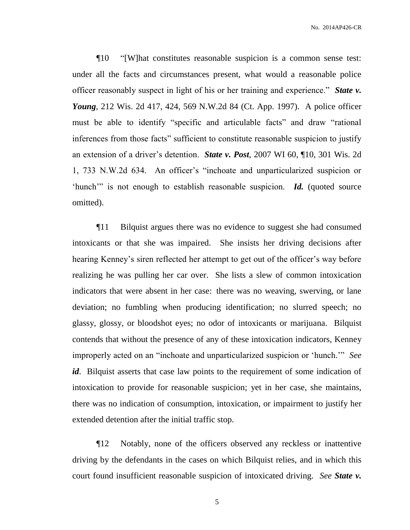No. 2014AP426-CR

¶10 "[W]hat constitutes reasonable suspicion is a common sense test: under all the facts and circumstances present, what would a reasonable police officer reasonably suspect in light of his or her training and experience." *State v. Young*, 212 Wis. 2d 417, 424, 569 N.W.2d 84 (Ct. App. 1997). A police officer must be able to identify "specific and articulable facts" and draw "rational inferences from those facts" sufficient to constitute reasonable suspicion to justify an extension of a driver's detention. *State v. Post*, 2007 WI 60, ¶10, 301 Wis. 2d 1, 733 N.W.2d 634. An officer's "inchoate and unparticularized suspicion or 'hunch'" is not enough to establish reasonable suspicion. *Id.* (quoted source omitted).

¶11 Bilquist argues there was no evidence to suggest she had consumed intoxicants or that she was impaired. She insists her driving decisions after hearing Kenney's siren reflected her attempt to get out of the officer's way before realizing he was pulling her car over. She lists a slew of common intoxication indicators that were absent in her case: there was no weaving, swerving, or lane deviation; no fumbling when producing identification; no slurred speech; no glassy, glossy, or bloodshot eyes; no odor of intoxicants or marijuana. Bilquist contends that without the presence of any of these intoxication indicators, Kenney improperly acted on an "inchoate and unparticularized suspicion or 'hunch.'" *See*  id. Bilquist asserts that case law points to the requirement of some indication of intoxication to provide for reasonable suspicion; yet in her case, she maintains, there was no indication of consumption, intoxication, or impairment to justify her extended detention after the initial traffic stop.

¶12 Notably, none of the officers observed any reckless or inattentive driving by the defendants in the cases on which Bilquist relies, and in which this court found insufficient reasonable suspicion of intoxicated driving. *See State v.*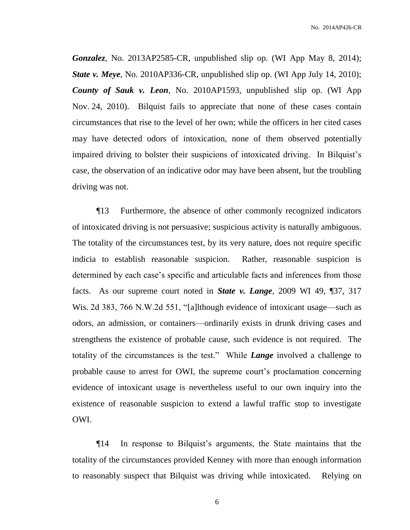*Gonzalez*, No. 2013AP2585-CR, unpublished slip op. (WI App May 8, 2014); *State v. Meye*, No. 2010AP336-CR, unpublished slip op. (WI App July 14, 2010); *County of Sauk v. Leon*, No. 2010AP1593, unpublished slip op. (WI App Nov. 24, 2010). Bilquist fails to appreciate that none of these cases contain circumstances that rise to the level of her own; while the officers in her cited cases may have detected odors of intoxication, none of them observed potentially impaired driving to bolster their suspicions of intoxicated driving. In Bilquist's case, the observation of an indicative odor may have been absent, but the troubling driving was not.

¶13 Furthermore, the absence of other commonly recognized indicators of intoxicated driving is not persuasive; suspicious activity is naturally ambiguous. The totality of the circumstances test, by its very nature, does not require specific indicia to establish reasonable suspicion. Rather, reasonable suspicion is determined by each case's specific and articulable facts and inferences from those facts. As our supreme court noted in *State v. Lange*, 2009 WI 49, ¶37, 317 Wis. 2d 383, 766 N.W.2d 551, "[a]lthough evidence of intoxicant usage—such as odors, an admission, or containers—ordinarily exists in drunk driving cases and strengthens the existence of probable cause, such evidence is not required. The totality of the circumstances is the test." While *Lange* involved a challenge to probable cause to arrest for OWI, the supreme court's proclamation concerning evidence of intoxicant usage is nevertheless useful to our own inquiry into the existence of reasonable suspicion to extend a lawful traffic stop to investigate OWI.

¶14 In response to Bilquist's arguments, the State maintains that the totality of the circumstances provided Kenney with more than enough information to reasonably suspect that Bilquist was driving while intoxicated. Relying on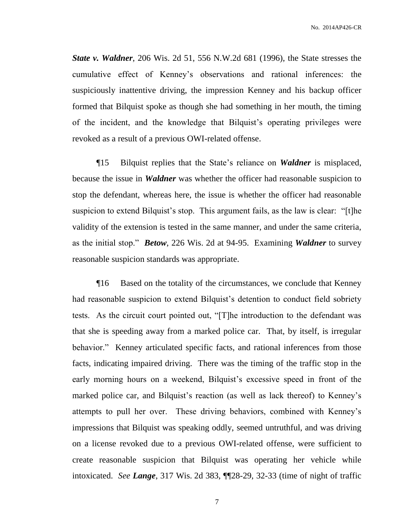*State v. Waldner*, 206 Wis. 2d 51, 556 N.W.2d 681 (1996), the State stresses the cumulative effect of Kenney's observations and rational inferences: the suspiciously inattentive driving, the impression Kenney and his backup officer formed that Bilquist spoke as though she had something in her mouth, the timing of the incident, and the knowledge that Bilquist's operating privileges were revoked as a result of a previous OWI-related offense.

¶15 Bilquist replies that the State's reliance on *Waldner* is misplaced, because the issue in *Waldner* was whether the officer had reasonable suspicion to stop the defendant, whereas here, the issue is whether the officer had reasonable suspicion to extend Bilquist's stop. This argument fails, as the law is clear: "[t]he validity of the extension is tested in the same manner, and under the same criteria, as the initial stop." *Betow*, 226 Wis. 2d at 94-95. Examining *Waldner* to survey reasonable suspicion standards was appropriate.

¶16 Based on the totality of the circumstances, we conclude that Kenney had reasonable suspicion to extend Bilquist's detention to conduct field sobriety tests. As the circuit court pointed out, "[T]he introduction to the defendant was that she is speeding away from a marked police car. That, by itself, is irregular behavior." Kenney articulated specific facts, and rational inferences from those facts, indicating impaired driving. There was the timing of the traffic stop in the early morning hours on a weekend, Bilquist's excessive speed in front of the marked police car, and Bilquist's reaction (as well as lack thereof) to Kenney's attempts to pull her over. These driving behaviors, combined with Kenney's impressions that Bilquist was speaking oddly, seemed untruthful, and was driving on a license revoked due to a previous OWI-related offense, were sufficient to create reasonable suspicion that Bilquist was operating her vehicle while intoxicated. *See Lange*, 317 Wis. 2d 383, ¶¶28-29, 32-33 (time of night of traffic